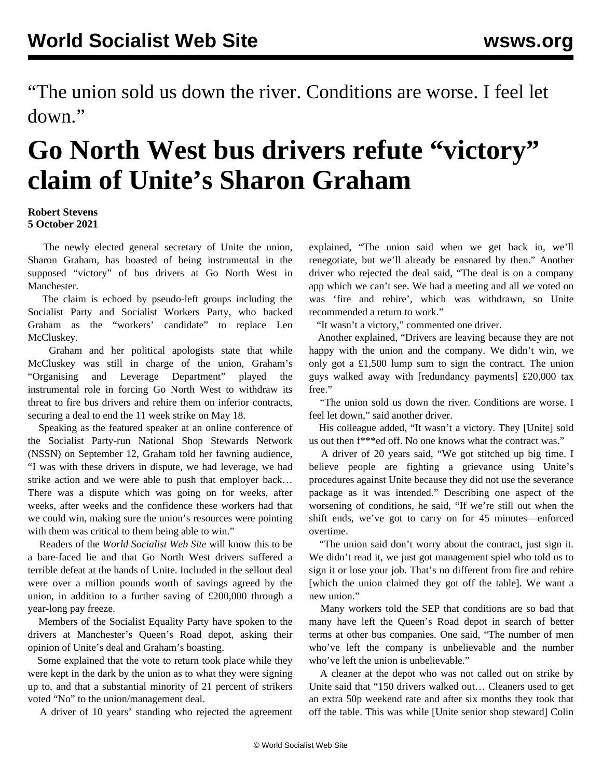"The union sold us down the river. Conditions are worse. I feel let down."

## **Go North West bus drivers refute "victory" claim of Unite's Sharon Graham**

## **Robert Stevens 5 October 2021**

 The newly elected general secretary of Unite the union, Sharon Graham, has boasted of being instrumental in the supposed "victory" of bus drivers at Go North West in Manchester.

 The claim is echoed by pseudo-left groups including the Socialist Party and Socialist Workers Party, who backed Graham as the "workers' candidate" to replace Len McCluskey.

 Graham and her political apologists state that while McCluskey was still in charge of the union, Graham's "Organising and Leverage Department" played the instrumental role in forcing Go North West to withdraw its threat to fire bus drivers and rehire them on inferior contracts, securing a deal to end the 11 week strike on May 18.

 Speaking as the featured speaker at an online conference of the Socialist Party-run National Shop Stewards Network (NSSN) on September 12, Graham told her fawning audience, "I was with these drivers in dispute, we had leverage, we had strike action and we were able to push that employer back… There was a dispute which was going on for weeks, after weeks, after weeks and the confidence these workers had that we could win, making sure the union's resources were pointing with them was critical to them being able to win."

 Readers of the *World Socialist Web Site* will know this to be a bare-faced lie and that Go North West drivers suffered a terrible defeat at the hands of Unite. Included in the sellout deal were over a million pounds worth of savings agreed by the union, in addition to a further saving of £200,000 through a year-long pay freeze.

 Members of the Socialist Equality Party have spoken to the drivers at Manchester's Queen's Road depot, asking their opinion of Unite's deal and Graham's boasting.

 Some explained that the vote to return took place while they were kept in the dark by the union as to what they were signing up to, and that a substantial minority of 21 percent of strikers voted "No" to the union/management deal.

A driver of 10 years' standing who rejected the agreement

explained, "The union said when we get back in, we'll renegotiate, but we'll already be ensnared by then." Another driver who rejected the deal said, "The deal is on a company app which we can't see. We had a meeting and all we voted on was 'fire and rehire', which was withdrawn, so Unite recommended a return to work."

"It wasn't a victory," commented one driver.

 Another explained, "Drivers are leaving because they are not happy with the union and the company. We didn't win, we only got a £1,500 lump sum to sign the contract. The union guys walked away with [redundancy payments] £20,000 tax free."

 "The union sold us down the river. Conditions are worse. I feel let down," said another driver.

 His colleague added, "It wasn't a victory. They [Unite] sold us out then f\*\*\*ed off. No one knows what the contract was."

 A driver of 20 years said, "We got stitched up big time. I believe people are fighting a grievance using Unite's procedures against Unite because they did not use the severance package as it was intended." Describing one aspect of the worsening of conditions, he said, "If we're still out when the shift ends, we've got to carry on for 45 minutes—enforced overtime.

 "The union said don't worry about the contract, just sign it. We didn't read it, we just got management spiel who told us to sign it or lose your job. That's no different from fire and rehire [which the union claimed they got off the table]. We want a new union."

 Many workers told the SEP that conditions are so bad that many have left the Queen's Road depot in search of better terms at other bus companies. One said, "The number of men who've left the company is unbelievable and the number who've left the union is unbelievable."

 A cleaner at the depot who was not called out on strike by Unite said that "150 drivers walked out… Cleaners used to get an extra 50p weekend rate and after six months they took that off the table. This was while [Unite senior shop steward] Colin